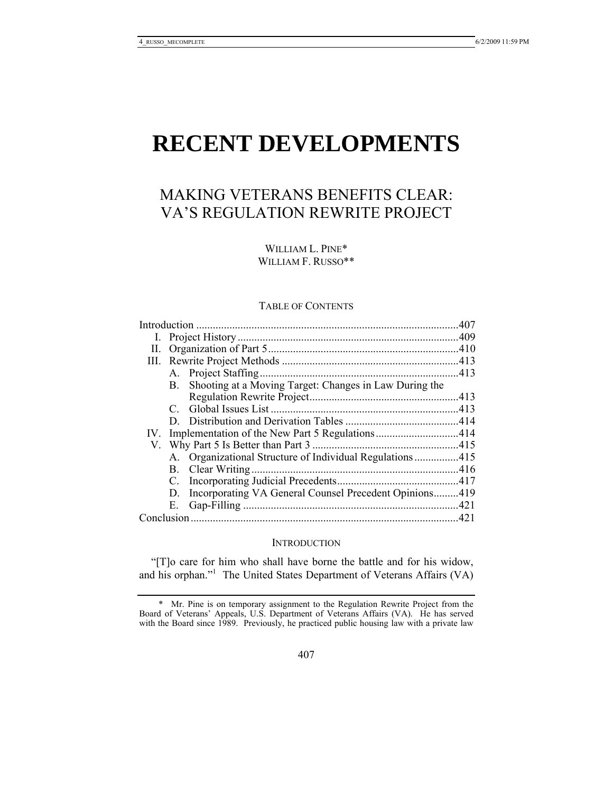# **RECENT DEVELOPMENTS**

# MAKING VETERANS BENEFITS CLEAR: VA'S REGULATION REWRITE PROJECT

WILLIAM L. PINE\* WILLIAM F. RUSSO\*\*

#### TABLE OF CONTENTS

| Н.         |             |                                                          |  |
|------------|-------------|----------------------------------------------------------|--|
|            |             |                                                          |  |
|            |             | A. Project Staffing                                      |  |
|            | B.          | Shooting at a Moving Target: Changes in Law During the   |  |
|            |             |                                                          |  |
|            |             |                                                          |  |
|            |             |                                                          |  |
| $IV_{-}$   |             |                                                          |  |
|            |             |                                                          |  |
|            |             | A. Organizational Structure of Individual Regulations415 |  |
|            |             | B. Clear Writing.                                        |  |
|            | $C_{\cdot}$ |                                                          |  |
|            | D.          | Incorporating VA General Counsel Precedent Opinions419   |  |
|            | Е.          |                                                          |  |
| Conclusion |             |                                                          |  |
|            |             |                                                          |  |

# **INTRODUCTION**

"[T]o care for him who shall have borne the battle and for his widow, and his orphan."<sup>1</sup> The United States Department of Veterans Affairs (VA)

 <sup>\*</sup> Mr. Pine is on temporary assignment to the Regulation Rewrite Project from the Board of Veterans' Appeals, U.S. Department of Veterans Affairs (VA). He has served with the Board since 1989. Previously, he practiced public housing law with a private law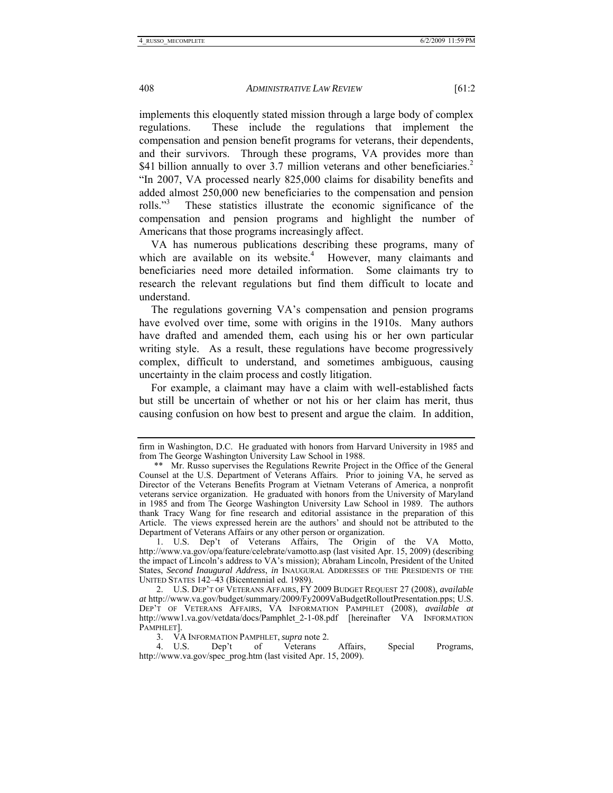implements this eloquently stated mission through a large body of complex regulations. These include the regulations that implement the compensation and pension benefit programs for veterans, their dependents, and their survivors. Through these programs, VA provides more than \$41 billion annually to over 3.7 million veterans and other beneficiaries.<sup>2</sup> "In 2007, VA processed nearly 825,000 claims for disability benefits and added almost 250,000 new beneficiaries to the compensation and pension rolls."<sup>3</sup> These statistics illustrate the economic significance of the compensation and pension programs and highlight the number of Americans that those programs increasingly affect.

VA has numerous publications describing these programs, many of which are available on its website.<sup>4</sup> However, many claimants and beneficiaries need more detailed information. Some claimants try to research the relevant regulations but find them difficult to locate and understand.

The regulations governing VA's compensation and pension programs have evolved over time, some with origins in the 1910s. Many authors have drafted and amended them, each using his or her own particular writing style. As a result, these regulations have become progressively complex, difficult to understand, and sometimes ambiguous, causing uncertainty in the claim process and costly litigation.

For example, a claimant may have a claim with well-established facts but still be uncertain of whether or not his or her claim has merit, thus causing confusion on how best to present and argue the claim. In addition,

3. VA INFORMATION PAMPHLET, *supra* note 2.

 4. U.S. Dep't of Veterans Affairs, Special Programs, http://www.va.gov/spec\_prog.htm (last visited Apr. 15, 2009).

firm in Washington, D.C. He graduated with honors from Harvard University in 1985 and from The George Washington University Law School in 1988.

 <sup>\*\*</sup> Mr. Russo supervises the Regulations Rewrite Project in the Office of the General Counsel at the U.S. Department of Veterans Affairs. Prior to joining VA, he served as Director of the Veterans Benefits Program at Vietnam Veterans of America, a nonprofit veterans service organization. He graduated with honors from the University of Maryland in 1985 and from The George Washington University Law School in 1989. The authors thank Tracy Wang for fine research and editorial assistance in the preparation of this Article. The views expressed herein are the authors' and should not be attributed to the Department of Veterans Affairs or any other person or organization.

 <sup>1.</sup> U.S. Dep't of Veterans Affairs, The Origin of the VA Motto, http://www.va.gov/opa/feature/celebrate/vamotto.asp (last visited Apr. 15, 2009) (describing the impact of Lincoln's address to VA's mission); Abraham Lincoln, President of the United States, *Second Inaugural Address*, *in* INAUGURAL ADDRESSES OF THE PRESIDENTS OF THE UNITED STATES 142–43 (Bicentennial ed. 1989).

 <sup>2.</sup> U.S. DEP'T OF VETERANS AFFAIRS, FY 2009 BUDGET REQUEST 27 (2008), *available at* http://www.va.gov/budget/summary/2009/Fy2009VaBudgetRolloutPresentation.pps; U.S. DEP'T OF VETERANS AFFAIRS, VA INFORMATION PAMPHLET (2008), *available at* http://www1.va.gov/vetdata/docs/Pamphlet\_2-1-08.pdf [hereinafter VA INFORMATION PAMPHLET].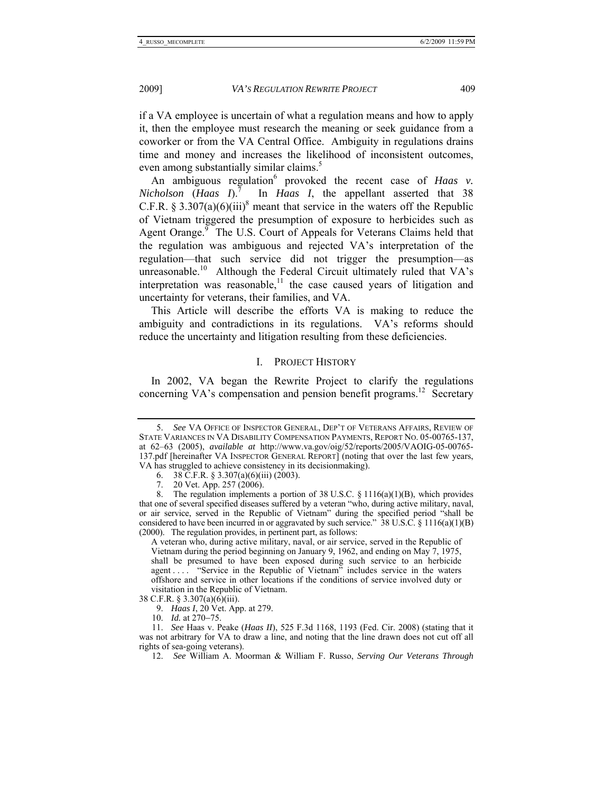if a VA employee is uncertain of what a regulation means and how to apply it, then the employee must research the meaning or seek guidance from a coworker or from the VA Central Office. Ambiguity in regulations drains time and money and increases the likelihood of inconsistent outcomes, even among substantially similar claims.<sup>5</sup>

An ambiguous regulation<sup>6</sup> provoked the recent case of *Haas v*. *Nicholson* (*Haas I*).<sup>7</sup> In *Haas I*, the appellant asserted that 38 C.F.R. § 3.307(a)(6)(iii)<sup>8</sup> meant that service in the waters off the Republic of Vietnam triggered the presumption of exposure to herbicides such as Agent Orange.<sup>9</sup> The U.S. Court of Appeals for Veterans Claims held that the regulation was ambiguous and rejected VA's interpretation of the regulation—that such service did not trigger the presumption—as unreasonable.<sup>10</sup> Although the Federal Circuit ultimately ruled that  $VA's$ interpretation was reasonable,<sup>11</sup> the case caused years of litigation and uncertainty for veterans, their families, and VA.

This Article will describe the efforts VA is making to reduce the ambiguity and contradictions in its regulations. VA's reforms should reduce the uncertainty and litigation resulting from these deficiencies.

# I. PROJECT HISTORY

In 2002, VA began the Rewrite Project to clarify the regulations concerning VA's compensation and pension benefit programs.<sup>12</sup> Secretary

- 6. 38 C.F.R. § 3.307(a)(6)(iii) (2003).
- 7. 20 Vet. App. 257 (2006).

A veteran who, during active military, naval, or air service, served in the Republic of Vietnam during the period beginning on January 9, 1962, and ending on May 7, 1975, shall be presumed to have been exposed during such service to an herbicide agent . . . . "Service in the Republic of Vietnam" includes service in the waters offshore and service in other locations if the conditions of service involved duty or visitation in the Republic of Vietnam.

 <sup>5.</sup> *See* VA OFFICE OF INSPECTOR GENERAL, DEP'T OF VETERANS AFFAIRS, REVIEW OF STATE VARIANCES IN VA DISABILITY COMPENSATION PAYMENTS, REPORT NO. 05-00765-137, at 62–63 (2005), *available at* http://www.va.gov/oig/52/reports/2005/VAOIG-05-00765- 137.pdf [hereinafter VA INSPECTOR GENERAL REPORT] (noting that over the last few years, VA has struggled to achieve consistency in its decisionmaking).

<sup>8.</sup> The regulation implements a portion of 38 U.S.C.  $\S$  1116(a)(1)(B), which provides that one of several specified diseases suffered by a veteran "who, during active military, naval, or air service, served in the Republic of Vietnam" during the specified period "shall be considered to have been incurred in or aggravated by such service."  $38 \text{ U.S.C.}$   $\S$  1116(a)(1)(B) (2000). The regulation provides, in pertinent part, as follows:

<sup>38</sup> C.F.R. § 3.307(a)(6)(iii).

 <sup>9.</sup> *Haas I*, 20 Vet. App. at 279.

 <sup>10.</sup> *Id.* at 270−75.

 <sup>11.</sup> *See* Haas v. Peake (*Haas II*), 525 F.3d 1168, 1193 (Fed. Cir. 2008) (stating that it was not arbitrary for VA to draw a line, and noting that the line drawn does not cut off all rights of sea-going veterans).

 <sup>12.</sup> *See* William A. Moorman & William F. Russo, *Serving Our Veterans Through*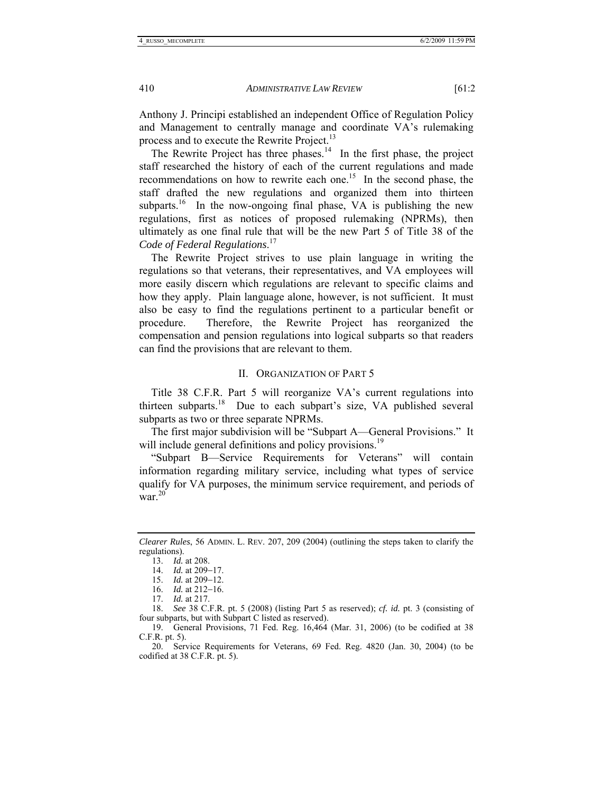Anthony J. Principi established an independent Office of Regulation Policy and Management to centrally manage and coordinate VA's rulemaking process and to execute the Rewrite Project.<sup>13</sup>

The Rewrite Project has three phases.<sup>14</sup> In the first phase, the project staff researched the history of each of the current regulations and made recommendations on how to rewrite each one.<sup>15</sup> In the second phase, the staff drafted the new regulations and organized them into thirteen subparts.<sup>16</sup> In the now-ongoing final phase, VA is publishing the new regulations, first as notices of proposed rulemaking (NPRMs), then ultimately as one final rule that will be the new Part 5 of Title 38 of the *Code of Federal Regulations*. 17

The Rewrite Project strives to use plain language in writing the regulations so that veterans, their representatives, and VA employees will more easily discern which regulations are relevant to specific claims and how they apply. Plain language alone, however, is not sufficient. It must also be easy to find the regulations pertinent to a particular benefit or procedure. Therefore, the Rewrite Project has reorganized the compensation and pension regulations into logical subparts so that readers can find the provisions that are relevant to them.

#### II. ORGANIZATION OF PART 5

Title 38 C.F.R. Part 5 will reorganize VA's current regulations into thirteen subparts.<sup>18</sup> Due to each subpart's size, VA published several subparts as two or three separate NPRMs.

The first major subdivision will be "Subpart A—General Provisions." It will include general definitions and policy provisions.<sup>19</sup>

"Subpart B—Service Requirements for Veterans" will contain information regarding military service, including what types of service qualify for VA purposes, the minimum service requirement, and periods of war. $^{20}$ 

*Clearer Rules*, 56 ADMIN. L. REV. 207, 209 (2004) (outlining the steps taken to clarify the regulations).

 <sup>13.</sup> *Id.* at 208.

 <sup>14.</sup> *Id.* at 209−17.

 <sup>15.</sup> *Id.* at 209−12.

 <sup>16.</sup> *Id.* at 212−16.

 <sup>17.</sup> *Id.* at 217.

 <sup>18.</sup> *See* 38 C.F.R. pt. 5 (2008) (listing Part 5 as reserved); *cf. id.* pt. 3 (consisting of four subparts, but with Subpart C listed as reserved).

 <sup>19.</sup> General Provisions, 71 Fed. Reg. 16,464 (Mar. 31, 2006) (to be codified at 38 C.F.R. pt. 5).

 <sup>20.</sup> Service Requirements for Veterans, 69 Fed. Reg. 4820 (Jan. 30, 2004) (to be codified at 38 C.F.R. pt. 5).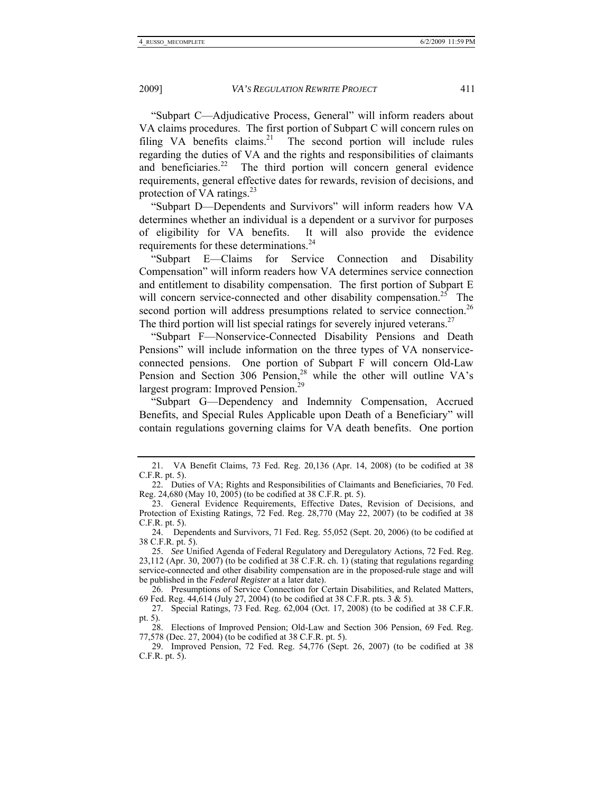"Subpart C—Adjudicative Process, General" will inform readers about VA claims procedures. The first portion of Subpart C will concern rules on filing VA benefits claims.<sup>21</sup> The second portion will include rules regarding the duties of VA and the rights and responsibilities of claimants and beneficiaries.<sup>22</sup> The third portion will concern general evidence requirements, general effective dates for rewards, revision of decisions, and protection of VA ratings. $^{23}$ 

"Subpart D—Dependents and Survivors" will inform readers how VA determines whether an individual is a dependent or a survivor for purposes of eligibility for VA benefits. It will also provide the evidence requirements for these determinations.<sup>24</sup>

"Subpart E—Claims for Service Connection and Disability Compensation" will inform readers how VA determines service connection and entitlement to disability compensation. The first portion of Subpart E will concern service-connected and other disability compensation.<sup>25</sup> The second portion will address presumptions related to service connection.<sup>26</sup> The third portion will list special ratings for severely injured veterans.<sup>27</sup>

"Subpart F—Nonservice-Connected Disability Pensions and Death Pensions" will include information on the three types of VA nonserviceconnected pensions. One portion of Subpart F will concern Old-Law Pension and Section 306 Pension,<sup>28</sup> while the other will outline VA's largest program: Improved Pension.<sup>29</sup>

"Subpart G—Dependency and Indemnity Compensation, Accrued Benefits, and Special Rules Applicable upon Death of a Beneficiary" will contain regulations governing claims for VA death benefits. One portion

 <sup>21.</sup> VA Benefit Claims, 73 Fed. Reg. 20,136 (Apr. 14, 2008) (to be codified at 38 C.F.R. pt. 5).

 <sup>22.</sup> Duties of VA; Rights and Responsibilities of Claimants and Beneficiaries, 70 Fed. Reg. 24,680 (May 10, 2005) (to be codified at 38 C.F.R. pt. 5).

 <sup>23.</sup> General Evidence Requirements, Effective Dates, Revision of Decisions, and Protection of Existing Ratings, 72 Fed. Reg. 28,770 (May 22, 2007) (to be codified at 38 C.F.R. pt. 5).

 <sup>24.</sup> Dependents and Survivors, 71 Fed. Reg. 55,052 (Sept. 20, 2006) (to be codified at 38 C.F.R. pt. 5).

 <sup>25.</sup> *See* Unified Agenda of Federal Regulatory and Deregulatory Actions, 72 Fed. Reg. 23,112 (Apr. 30, 2007) (to be codified at 38 C.F.R. ch. 1) (stating that regulations regarding service-connected and other disability compensation are in the proposed-rule stage and will be published in the *Federal Register* at a later date).

 <sup>26.</sup> Presumptions of Service Connection for Certain Disabilities, and Related Matters, 69 Fed. Reg. 44,614 (July 27, 2004) (to be codified at 38 C.F.R. pts. 3 & 5).

 <sup>27.</sup> Special Ratings, 73 Fed. Reg. 62,004 (Oct. 17, 2008) (to be codified at 38 C.F.R. pt. 5).

 <sup>28.</sup> Elections of Improved Pension; Old-Law and Section 306 Pension, 69 Fed. Reg. 77,578 (Dec. 27, 2004) (to be codified at 38 C.F.R. pt. 5).

 <sup>29.</sup> Improved Pension, 72 Fed. Reg. 54,776 (Sept. 26, 2007) (to be codified at 38 C.F.R. pt. 5).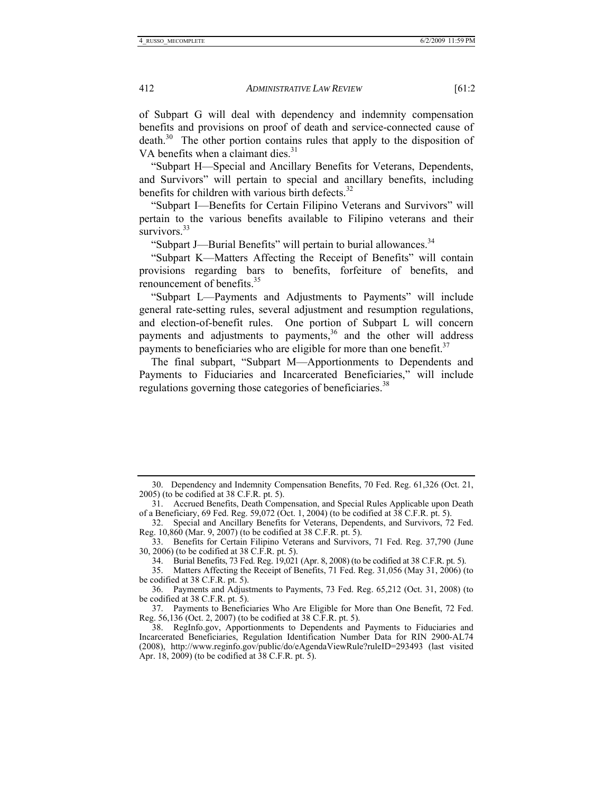of Subpart G will deal with dependency and indemnity compensation benefits and provisions on proof of death and service-connected cause of death.<sup>30</sup> The other portion contains rules that apply to the disposition of VA benefits when a claimant dies. $31$ 

"Subpart H—Special and Ancillary Benefits for Veterans, Dependents, and Survivors" will pertain to special and ancillary benefits, including benefits for children with various birth defects. $32$ 

"Subpart I—Benefits for Certain Filipino Veterans and Survivors" will pertain to the various benefits available to Filipino veterans and their survivors.<sup>33</sup>

"Subpart J—Burial Benefits" will pertain to burial allowances.<sup>34</sup>

"Subpart K—Matters Affecting the Receipt of Benefits" will contain provisions regarding bars to benefits, forfeiture of benefits, and renouncement of benefits.<sup>35</sup>

"Subpart L—Payments and Adjustments to Payments" will include general rate-setting rules, several adjustment and resumption regulations, and election-of-benefit rules. One portion of Subpart L will concern payments and adjustments to payments,<sup>36</sup> and the other will address payments to beneficiaries who are eligible for more than one benefit. $37$ 

The final subpart, "Subpart M—Apportionments to Dependents and Payments to Fiduciaries and Incarcerated Beneficiaries," will include regulations governing those categories of beneficiaries.<sup>38</sup>

 <sup>30.</sup> Dependency and Indemnity Compensation Benefits, 70 Fed. Reg. 61,326 (Oct. 21, 2005) (to be codified at 38 C.F.R. pt. 5).

 <sup>31.</sup> Accrued Benefits, Death Compensation, and Special Rules Applicable upon Death of a Beneficiary, 69 Fed. Reg. 59,072 (Oct. 1, 2004) (to be codified at  $\overline{38}$  C.F.R. pt. 5).

 <sup>32.</sup> Special and Ancillary Benefits for Veterans, Dependents, and Survivors, 72 Fed. Reg. 10,860 (Mar. 9, 2007) (to be codified at 38 C.F.R. pt. 5).

 <sup>33.</sup> Benefits for Certain Filipino Veterans and Survivors, 71 Fed. Reg. 37,790 (June 30, 2006) (to be codified at 38 C.F.R. pt. 5).

 <sup>34.</sup> Burial Benefits, 73 Fed. Reg. 19,021 (Apr. 8, 2008) (to be codified at 38 C.F.R. pt. 5).

 <sup>35.</sup> Matters Affecting the Receipt of Benefits, 71 Fed. Reg. 31,056 (May 31, 2006) (to be codified at 38 C.F.R. pt. 5).

 <sup>36.</sup> Payments and Adjustments to Payments, 73 Fed. Reg. 65,212 (Oct. 31, 2008) (to be codified at 38 C.F.R. pt. 5).

 <sup>37.</sup> Payments to Beneficiaries Who Are Eligible for More than One Benefit, 72 Fed. Reg. 56,136 (Oct. 2, 2007) (to be codified at 38 C.F.R. pt. 5).

 <sup>38.</sup> RegInfo.gov, Apportionments to Dependents and Payments to Fiduciaries and Incarcerated Beneficiaries, Regulation Identification Number Data for RIN 2900-AL74 (2008), http://www.reginfo.gov/public/do/eAgendaViewRule?ruleID=293493 (last visited Apr. 18, 2009) (to be codified at 38 C.F.R. pt. 5).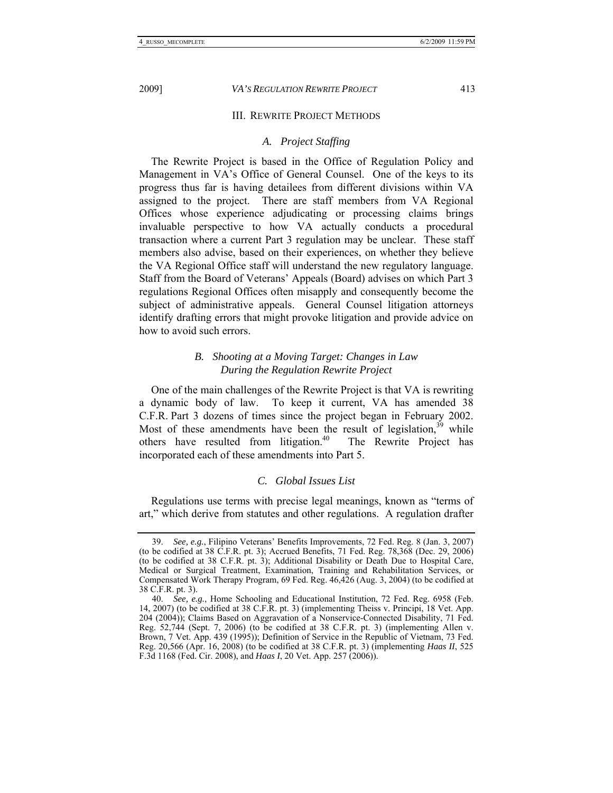#### III. REWRITE PROJECT METHODS

#### *A. Project Staffing*

The Rewrite Project is based in the Office of Regulation Policy and Management in VA's Office of General Counsel. One of the keys to its progress thus far is having detailees from different divisions within VA assigned to the project. There are staff members from VA Regional Offices whose experience adjudicating or processing claims brings invaluable perspective to how VA actually conducts a procedural transaction where a current Part 3 regulation may be unclear. These staff members also advise, based on their experiences, on whether they believe the VA Regional Office staff will understand the new regulatory language. Staff from the Board of Veterans' Appeals (Board) advises on which Part 3 regulations Regional Offices often misapply and consequently become the subject of administrative appeals. General Counsel litigation attorneys identify drafting errors that might provoke litigation and provide advice on how to avoid such errors.

# *B. Shooting at a Moving Target: Changes in Law During the Regulation Rewrite Project*

One of the main challenges of the Rewrite Project is that VA is rewriting a dynamic body of law. To keep it current, VA has amended 38 C.F.R. Part 3 dozens of times since the project began in February 2002. Most of these amendments have been the result of legislation,  $39$  while others have resulted from litigation. $40$  The Rewrite Project has incorporated each of these amendments into Part 5.

# *C. Global Issues List*

Regulations use terms with precise legal meanings, known as "terms of art," which derive from statutes and other regulations. A regulation drafter

 <sup>39.</sup> *See, e.g.*, Filipino Veterans' Benefits Improvements, 72 Fed. Reg. 8 (Jan. 3, 2007) (to be codified at 38 C.F.R. pt. 3); Accrued Benefits, 71 Fed. Reg. 78,368 (Dec. 29, 2006) (to be codified at 38 C.F.R. pt. 3); Additional Disability or Death Due to Hospital Care, Medical or Surgical Treatment, Examination, Training and Rehabilitation Services, or Compensated Work Therapy Program, 69 Fed. Reg. 46,426 (Aug. 3, 2004) (to be codified at 38 C.F.R. pt. 3).

 <sup>40.</sup> *See, e.g.*, Home Schooling and Educational Institution, 72 Fed. Reg. 6958 (Feb. 14, 2007) (to be codified at 38 C.F.R. pt. 3) (implementing Theiss v. Principi, 18 Vet. App. 204 (2004)); Claims Based on Aggravation of a Nonservice-Connected Disability, 71 Fed. Reg. 52,744 (Sept. 7, 2006) (to be codified at 38 C.F.R. pt. 3) (implementing Allen v. Brown, 7 Vet. App. 439 (1995)); Definition of Service in the Republic of Vietnam, 73 Fed. Reg. 20,566 (Apr. 16, 2008) (to be codified at 38 C.F.R. pt. 3) (implementing *Haas II*, 525 F.3d 1168 (Fed. Cir. 2008), and *Haas I*, 20 Vet. App. 257 (2006)).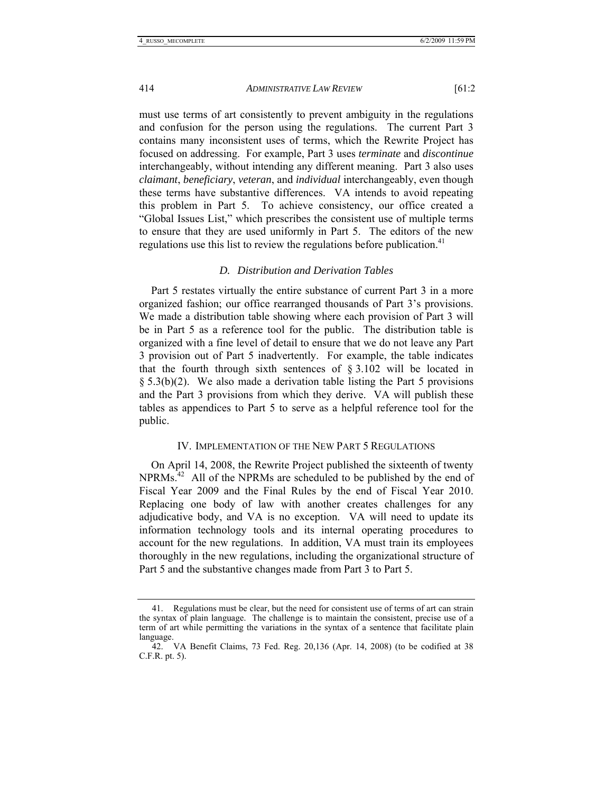must use terms of art consistently to prevent ambiguity in the regulations and confusion for the person using the regulations. The current Part 3 contains many inconsistent uses of terms, which the Rewrite Project has focused on addressing. For example, Part 3 uses *terminate* and *discontinue* interchangeably, without intending any different meaning. Part 3 also uses *claimant*, *beneficiary*, *veteran*, and *individual* interchangeably, even though these terms have substantive differences. VA intends to avoid repeating this problem in Part 5. To achieve consistency, our office created a "Global Issues List," which prescribes the consistent use of multiple terms to ensure that they are used uniformly in Part 5. The editors of the new regulations use this list to review the regulations before publication.<sup>41</sup>

#### *D. Distribution and Derivation Tables*

Part 5 restates virtually the entire substance of current Part 3 in a more organized fashion; our office rearranged thousands of Part 3's provisions. We made a distribution table showing where each provision of Part 3 will be in Part 5 as a reference tool for the public. The distribution table is organized with a fine level of detail to ensure that we do not leave any Part 3 provision out of Part 5 inadvertently. For example, the table indicates that the fourth through sixth sentences of § 3.102 will be located in § 5.3(b)(2). We also made a derivation table listing the Part 5 provisions and the Part 3 provisions from which they derive. VA will publish these tables as appendices to Part 5 to serve as a helpful reference tool for the public.

#### IV. IMPLEMENTATION OF THE NEW PART 5 REGULATIONS

On April 14, 2008, the Rewrite Project published the sixteenth of twenty  $NPRMs<sup>42</sup>$  All of the NPRMs are scheduled to be published by the end of Fiscal Year 2009 and the Final Rules by the end of Fiscal Year 2010. Replacing one body of law with another creates challenges for any adjudicative body, and VA is no exception. VA will need to update its information technology tools and its internal operating procedures to account for the new regulations. In addition, VA must train its employees thoroughly in the new regulations, including the organizational structure of Part 5 and the substantive changes made from Part 3 to Part 5.

 <sup>41.</sup> Regulations must be clear, but the need for consistent use of terms of art can strain the syntax of plain language. The challenge is to maintain the consistent, precise use of a term of art while permitting the variations in the syntax of a sentence that facilitate plain language.

 <sup>42.</sup> VA Benefit Claims, 73 Fed. Reg. 20,136 (Apr. 14, 2008) (to be codified at 38 C.F.R. pt. 5).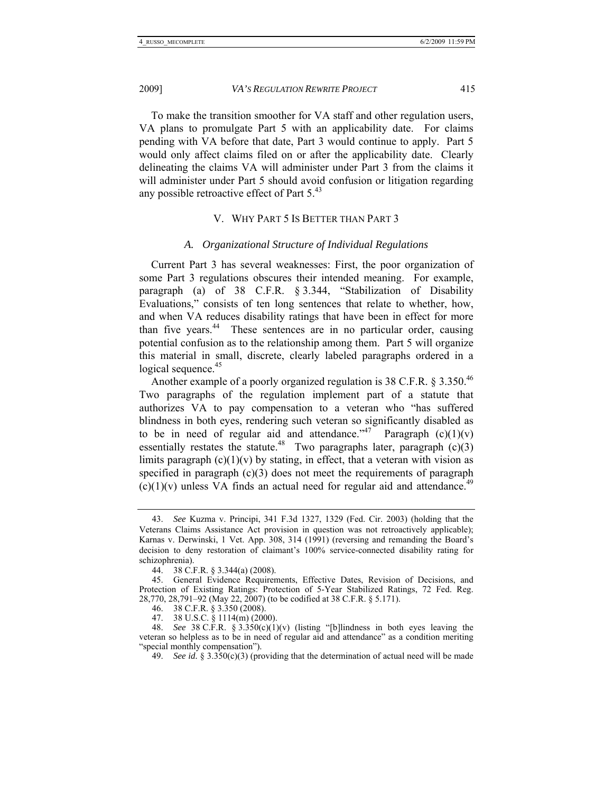To make the transition smoother for VA staff and other regulation users, VA plans to promulgate Part 5 with an applicability date. For claims pending with VA before that date, Part 3 would continue to apply. Part 5 would only affect claims filed on or after the applicability date. Clearly delineating the claims VA will administer under Part 3 from the claims it will administer under Part 5 should avoid confusion or litigation regarding any possible retroactive effect of Part  $5<sup>43</sup>$ 

# V. WHY PART 5 IS BETTER THAN PART 3

# *A. Organizational Structure of Individual Regulations*

Current Part 3 has several weaknesses: First, the poor organization of some Part 3 regulations obscures their intended meaning. For example, paragraph (a) of 38 C.F.R. § 3.344, "Stabilization of Disability Evaluations," consists of ten long sentences that relate to whether, how, and when VA reduces disability ratings that have been in effect for more than five years.44 These sentences are in no particular order, causing potential confusion as to the relationship among them. Part 5 will organize this material in small, discrete, clearly labeled paragraphs ordered in a logical sequence.<sup>45</sup>

Another example of a poorly organized regulation is 38 C.F.R. § 3.350.<sup>46</sup> Two paragraphs of the regulation implement part of a statute that authorizes VA to pay compensation to a veteran who "has suffered blindness in both eyes, rendering such veteran so significantly disabled as to be in need of regular aid and attendance."<sup>47</sup> Paragraph  $(c)(1)(v)$ essentially restates the statute.<sup>48</sup> Two paragraphs later, paragraph  $(c)(3)$ limits paragraph  $(c)(1)(v)$  by stating, in effect, that a veteran with vision as specified in paragraph  $(c)(3)$  does not meet the requirements of paragraph  $(c)(1)(v)$  unless VA finds an actual need for regular aid and attendance.<sup>49</sup>

 <sup>43.</sup> *See* Kuzma v. Principi, 341 F.3d 1327, 1329 (Fed. Cir. 2003) (holding that the Veterans Claims Assistance Act provision in question was not retroactively applicable); Karnas v. Derwinski, 1 Vet. App. 308, 314 (1991) (reversing and remanding the Board's decision to deny restoration of claimant's 100% service-connected disability rating for schizophrenia).

 <sup>44. 38</sup> C.F.R. § 3.344(a) (2008).

 <sup>45.</sup> General Evidence Requirements, Effective Dates, Revision of Decisions, and Protection of Existing Ratings: Protection of 5-Year Stabilized Ratings, 72 Fed. Reg. 28,770, 28,791–92 (May 22, 2007) (to be codified at 38 C.F.R. § 5.171).

 <sup>46. 38</sup> C.F.R. § 3.350 (2008).

 <sup>47. 38</sup> U.S.C. § 1114(m) (2000).

 <sup>48.</sup> *See* 38 C.F.R. § 3.350(c)(1)(v) (listing "[b]lindness in both eyes leaving the veteran so helpless as to be in need of regular aid and attendance" as a condition meriting "special monthly compensation").

<sup>49.</sup> *See id.* § 3.350(c)(3) (providing that the determination of actual need will be made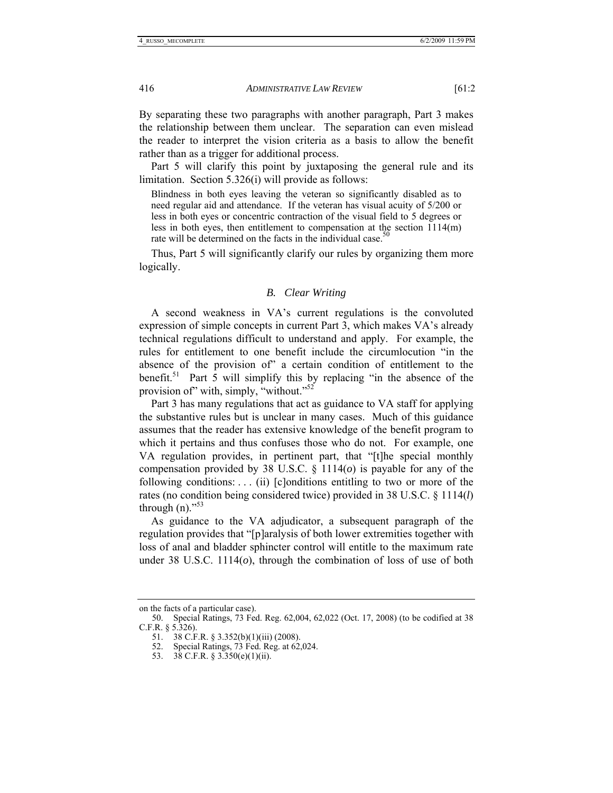By separating these two paragraphs with another paragraph, Part 3 makes the relationship between them unclear. The separation can even mislead the reader to interpret the vision criteria as a basis to allow the benefit rather than as a trigger for additional process.

Part 5 will clarify this point by juxtaposing the general rule and its limitation. Section 5.326(i) will provide as follows:

Blindness in both eyes leaving the veteran so significantly disabled as to need regular aid and attendance. If the veteran has visual acuity of 5/200 or less in both eyes or concentric contraction of the visual field to 5 degrees or less in both eyes, then entitlement to compensation at the section 1114(m) rate will be determined on the facts in the individual case.<sup>50</sup>

Thus, Part 5 will significantly clarify our rules by organizing them more logically.

#### *B. Clear Writing*

A second weakness in VA's current regulations is the convoluted expression of simple concepts in current Part 3, which makes VA's already technical regulations difficult to understand and apply. For example, the rules for entitlement to one benefit include the circumlocution "in the absence of the provision of" a certain condition of entitlement to the benefit.<sup>51</sup> Part  $\hat{5}$  will simplify this by replacing "in the absence of the provision of" with, simply, "without."<sup>52</sup>

Part 3 has many regulations that act as guidance to VA staff for applying the substantive rules but is unclear in many cases. Much of this guidance assumes that the reader has extensive knowledge of the benefit program to which it pertains and thus confuses those who do not. For example, one VA regulation provides, in pertinent part, that "[t]he special monthly compensation provided by 38 U.S.C. § 1114(*o*) is payable for any of the following conditions: . . . (ii) [c]onditions entitling to two or more of the rates (no condition being considered twice) provided in 38 U.S.C. § 1114(*l*) through  $(n)$ ."<sup>53</sup>

As guidance to the VA adjudicator, a subsequent paragraph of the regulation provides that "[p]aralysis of both lower extremities together with loss of anal and bladder sphincter control will entitle to the maximum rate under 38 U.S.C. 1114(*o*), through the combination of loss of use of both

on the facts of a particular case).

 <sup>50.</sup> Special Ratings, 73 Fed. Reg. 62,004, 62,022 (Oct. 17, 2008) (to be codified at 38 C.F.R. § 5.326).

 <sup>51. 38</sup> C.F.R. § 3.352(b)(1)(iii) (2008).

 <sup>52.</sup> Special Ratings, 73 Fed. Reg. at 62,024.

 <sup>53. 38</sup> C.F.R. § 3.350(e)(1)(ii).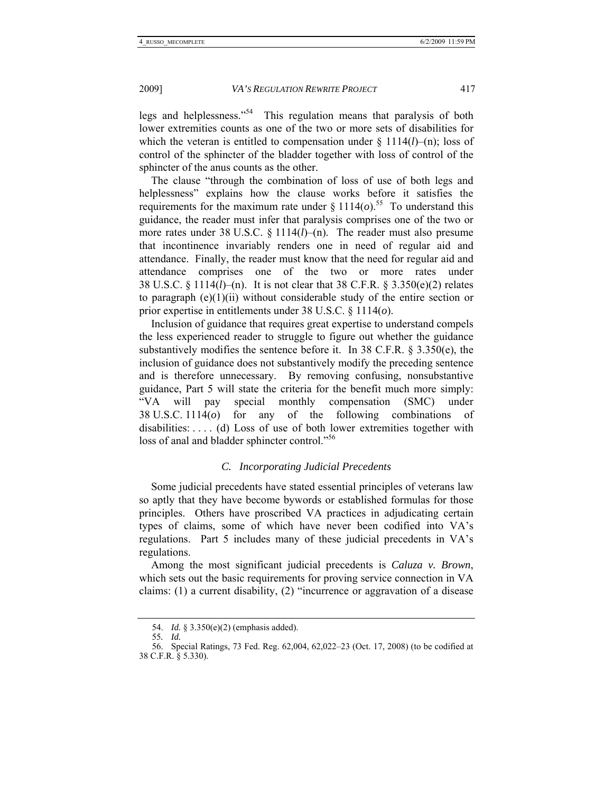legs and helplessness."54 This regulation means that paralysis of both lower extremities counts as one of the two or more sets of disabilities for which the veteran is entitled to compensation under § 1114(*l*)–(n); loss of control of the sphincter of the bladder together with loss of control of the sphincter of the anus counts as the other.

The clause "through the combination of loss of use of both legs and helplessness" explains how the clause works before it satisfies the requirements for the maximum rate under  $\S 1114(o)$ .<sup>55</sup> To understand this guidance, the reader must infer that paralysis comprises one of the two or more rates under 38 U.S.C. § 1114(*l*)–(n). The reader must also presume that incontinence invariably renders one in need of regular aid and attendance. Finally, the reader must know that the need for regular aid and attendance comprises one of the two or more rates under 38 U.S.C. § 1114(*l*)–(n). It is not clear that 38 C.F.R. § 3.350(e)(2) relates to paragraph  $(e)(1)(ii)$  without considerable study of the entire section or prior expertise in entitlements under 38 U.S.C. § 1114(*o*).

Inclusion of guidance that requires great expertise to understand compels the less experienced reader to struggle to figure out whether the guidance substantively modifies the sentence before it. In 38 C.F.R. § 3.350(e), the inclusion of guidance does not substantively modify the preceding sentence and is therefore unnecessary. By removing confusing, nonsubstantive guidance, Part 5 will state the criteria for the benefit much more simply: "VA will pay special monthly compensation (SMC) under 38 U.S.C. 1114(*o*) for any of the following combinations of disabilities: . . . . (d) Loss of use of both lower extremities together with loss of anal and bladder sphincter control."<sup>56</sup>

#### *C. Incorporating Judicial Precedents*

Some judicial precedents have stated essential principles of veterans law so aptly that they have become bywords or established formulas for those principles. Others have proscribed VA practices in adjudicating certain types of claims, some of which have never been codified into VA's regulations. Part 5 includes many of these judicial precedents in VA's regulations.

Among the most significant judicial precedents is *Caluza v. Brown*, which sets out the basic requirements for proving service connection in VA claims: (1) a current disability, (2) "incurrence or aggravation of a disease

 <sup>54.</sup> *Id.* § 3.350(e)(2) (emphasis added).

<sup>55</sup>*. Id.*

 <sup>56.</sup> Special Ratings, 73 Fed. Reg. 62,004, 62,022–23 (Oct. 17, 2008) (to be codified at 38 C.F.R. § 5.330).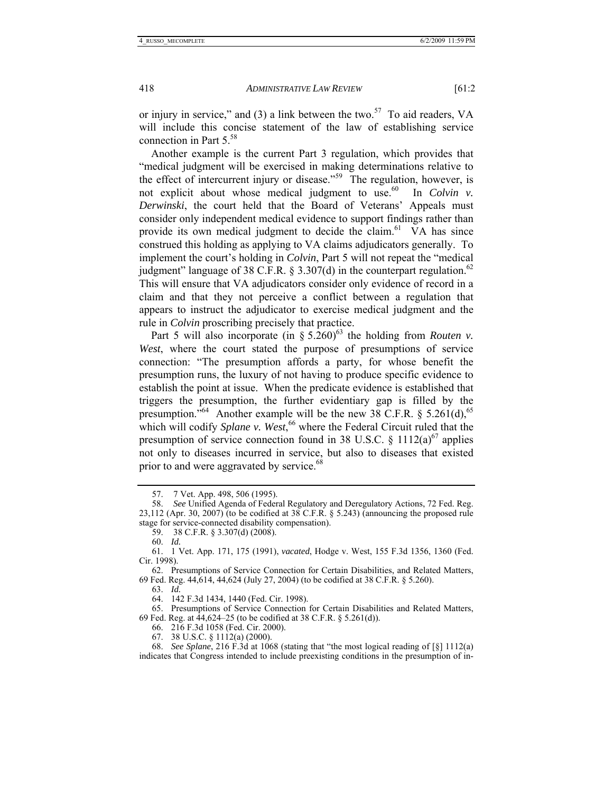or injury in service," and (3) a link between the two.<sup>57</sup> To aid readers, VA will include this concise statement of the law of establishing service connection in Part  $5.^{58}$ 

Another example is the current Part 3 regulation, which provides that "medical judgment will be exercised in making determinations relative to the effect of intercurrent injury or disease."<sup>59</sup> The regulation, however, is not explicit about whose medical judgment to use.<sup>60</sup> In *Colvin v. Derwinski*, the court held that the Board of Veterans' Appeals must consider only independent medical evidence to support findings rather than provide its own medical judgment to decide the claim.<sup>61</sup>  $\tilde{V}A$  has since construed this holding as applying to VA claims adjudicators generally. To implement the court's holding in *Colvin*, Part 5 will not repeat the "medical judgment" language of 38 C.F.R. § 3.307(d) in the counterpart regulation.<sup>62</sup> This will ensure that VA adjudicators consider only evidence of record in a claim and that they not perceive a conflict between a regulation that appears to instruct the adjudicator to exercise medical judgment and the rule in *Colvin* proscribing precisely that practice.

Part 5 will also incorporate (in  $\S 5.260$ <sup>63</sup> the holding from *Routen v.* West, where the court stated the purpose of presumptions of service connection: "The presumption affords a party, for whose benefit the presumption runs, the luxury of not having to produce specific evidence to establish the point at issue. When the predicate evidence is established that triggers the presumption, the further evidentiary gap is filled by the presumption.<sup> $564$ </sup> Another example will be the new 38 C.F.R. § 5.261(d),<sup>65</sup> which will codify *Splane v. West*, 66 where the Federal Circuit ruled that the presumption of service connection found in 38 U.S.C.  $\frac{1112(a)^{67}}{20}$  applies not only to diseases incurred in service, but also to diseases that existed prior to and were aggravated by service.<sup>68</sup>

60. *Id.* 

63. *Id.*

- 66. 216 F.3d 1058 (Fed. Cir. 2000).
- 67. 38 U.S.C. § 1112(a) (2000).

 <sup>57. 7</sup> Vet. App. 498, 506 (1995).

 <sup>58.</sup> *See* Unified Agenda of Federal Regulatory and Deregulatory Actions, 72 Fed. Reg. 23,112 (Apr. 30, 2007) (to be codified at  $38$  C.F.R. § 5.243) (announcing the proposed rule stage for service-connected disability compensation).

 <sup>59. 38</sup> C.F.R. § 3.307(d) (2008).

 <sup>61. 1</sup> Vet. App. 171, 175 (1991), *vacated*, Hodge v. West, 155 F.3d 1356, 1360 (Fed. Cir. 1998).

 <sup>62.</sup> Presumptions of Service Connection for Certain Disabilities, and Related Matters, 69 Fed. Reg. 44,614, 44,624 (July 27, 2004) (to be codified at 38 C.F.R. § 5.260).

 <sup>64. 142</sup> F.3d 1434, 1440 (Fed. Cir. 1998).

 <sup>65.</sup> Presumptions of Service Connection for Certain Disabilities and Related Matters, 69 Fed. Reg. at 44,624–25 (to be codified at 38 C.F.R. § 5.261(d)).

 <sup>68.</sup> *See Splane*, 216 F.3d at 1068 (stating that "the most logical reading of [§] 1112(a) indicates that Congress intended to include preexisting conditions in the presumption of in-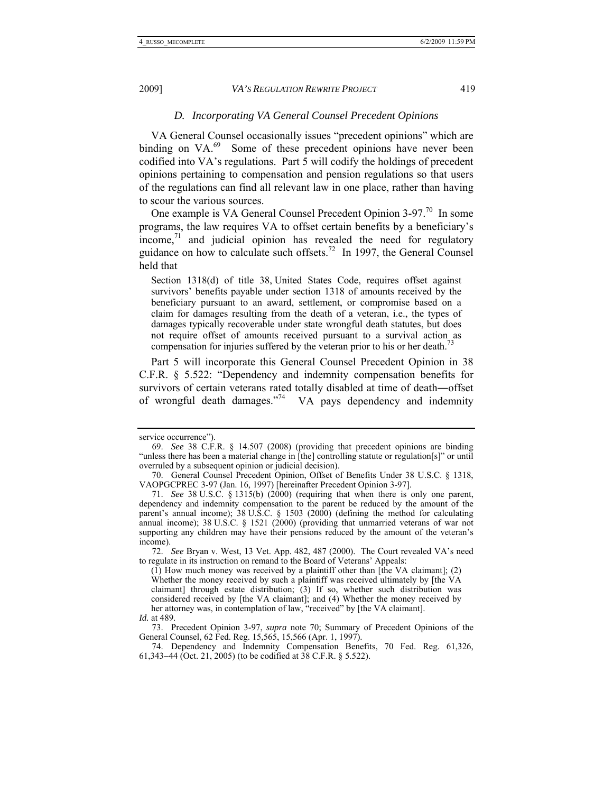# *D. Incorporating VA General Counsel Precedent Opinions*

VA General Counsel occasionally issues "precedent opinions" which are binding on VA.<sup>69</sup> Some of these precedent opinions have never been codified into VA's regulations. Part  $\overline{5}$  will codify the holdings of precedent opinions pertaining to compensation and pension regulations so that users of the regulations can find all relevant law in one place, rather than having to scour the various sources.

One example is VA General Counsel Precedent Opinion 3-97.70 In some programs, the law requires VA to offset certain benefits by a beneficiary's  $\frac{1}{2}$  income,<sup>71</sup> and judicial opinion has revealed the need for regulatory guidance on how to calculate such offsets.<sup>72</sup> In 1997, the General Counsel held that

Section 1318(d) of title 38 United States Code, requires offset against survivors' benefits payable under section 1318 of amounts received by the beneficiary pursuant to an award, settlement, or compromise based on a claim for damages resulting from the death of a veteran, i.e., the types of damages typically recoverable under state wrongful death statutes, but does not require offset of amounts received pursuant to a survival action as compensation for injuries suffered by the veteran prior to his or her death.<sup>73</sup>

Part 5 will incorporate this General Counsel Precedent Opinion in 38 C.F.R. § 5.522: "Dependency and indemnity compensation benefits for survivors of certain veterans rated totally disabled at time of death―offset of wrongful death damages."<sup>74</sup> VA pays dependency and indemnity

 73. Precedent Opinion 3-97, *supra* note 70; Summary of Precedent Opinions of the General Counsel, 62 Fed. Reg. 15,565, 15,566 (Apr. 1, 1997).

service occurrence").

 <sup>69.</sup> *See* 38 C.F.R. § 14.507 (2008) (providing that precedent opinions are binding "unless there has been a material change in [the] controlling statute or regulation[s]" or until overruled by a subsequent opinion or judicial decision).

 <sup>70.</sup> General Counsel Precedent Opinion, Offset of Benefits Under 38 U.S.C. § 1318, VAOPGCPREC 3-97 (Jan. 16, 1997) [hereinafter Precedent Opinion 3-97].

 <sup>71.</sup> *See* 38 U.S.C. § 1315(b) (2000) (requiring that when there is only one parent, dependency and indemnity compensation to the parent be reduced by the amount of the parent's annual income); 38 U.S.C. § 1503 (2000) (defining the method for calculating annual income);  $38 \text{ U.S.C. }$   $\S$  1521 (2000) (providing that unmarried veterans of war not supporting any children may have their pensions reduced by the amount of the veteran's income).

 <sup>72.</sup> *See* Bryan v. West, 13 Vet. App. 482, 487 (2000). The Court revealed VA's need to regulate in its instruction on remand to the Board of Veterans' Appeals:

 $(1)$  How much money was received by a plaintiff other than [the VA claimant];  $(2)$ Whether the money received by such a plaintiff was received ultimately by [the VA claimant] through estate distribution; (3) If so, whether such distribution was considered received by [the VA claimant]; and (4) Whether the money received by her attorney was, in contemplation of law, "received" by [the VA claimant]. *Id.* at 489.

 <sup>74.</sup> Dependency and Indemnity Compensation Benefits, 70 Fed. Reg. 61,326, 61,343−44 (Oct. 21, 2005) (to be codified at 38 C.F.R. § 5.522).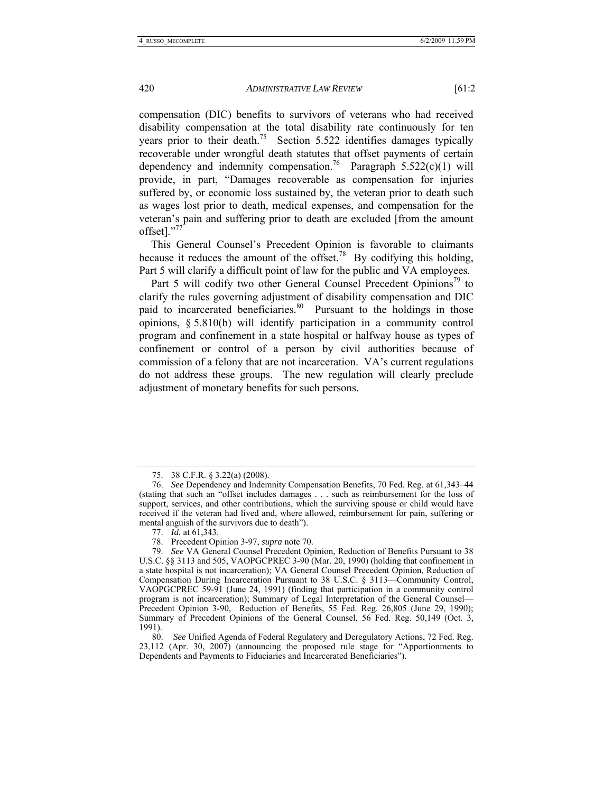compensation (DIC) benefits to survivors of veterans who had received disability compensation at the total disability rate continuously for ten years prior to their death.<sup>75</sup> Section 5.522 identifies damages typically recoverable under wrongful death statutes that offset payments of certain dependency and indemnity compensation.<sup>76</sup> Paragraph 5.522(c)(1) will provide, in part, "Damages recoverable as compensation for injuries suffered by, or economic loss sustained by, the veteran prior to death such as wages lost prior to death, medical expenses, and compensation for the veteran's pain and suffering prior to death are excluded [from the amount offset]."77

This General Counsel's Precedent Opinion is favorable to claimants because it reduces the amount of the offset.<sup>78</sup> By codifying this holding, Part 5 will clarify a difficult point of law for the public and VA employees.

Part 5 will codify two other General Counsel Precedent Opinions<sup>79</sup> to clarify the rules governing adjustment of disability compensation and DIC paid to incarcerated beneficiaries.<sup>80</sup> Pursuant to the holdings in those opinions, § 5.810(b) will identify participation in a community control program and confinement in a state hospital or halfway house as types of confinement or control of a person by civil authorities because of commission of a felony that are not incarceration. VA's current regulations do not address these groups. The new regulation will clearly preclude adjustment of monetary benefits for such persons.

 <sup>75. 38</sup> C.F.R. § 3.22(a) (2008).

 <sup>76.</sup> *See* Dependency and Indemnity Compensation Benefits, 70 Fed. Reg. at 61,343–44 (stating that such an "offset includes damages . . . such as reimbursement for the loss of support, services, and other contributions, which the surviving spouse or child would have received if the veteran had lived and, where allowed, reimbursement for pain, suffering or mental anguish of the survivors due to death").

 <sup>77.</sup> *Id.* at 61,343.

 <sup>78.</sup> Precedent Opinion 3-97, *supra* note 70.

 <sup>79.</sup> *See* VA General Counsel Precedent Opinion, Reduction of Benefits Pursuant to 38 U.S.C. §§ 3113 and 505, VAOPGCPREC 3-90 (Mar. 20, 1990) (holding that confinement in a state hospital is not incarceration); VA General Counsel Precedent Opinion, Reduction of Compensation During Incarceration Pursuant to 38 U.S.C. § 3113—Community Control, VAOPGCPREC 59-91 (June 24, 1991) (finding that participation in a community control program is not incarceration); Summary of Legal Interpretation of the General Counsel— Precedent Opinion 3-90, Reduction of Benefits, 55 Fed. Reg. 26,805 (June 29, 1990); Summary of Precedent Opinions of the General Counsel, 56 Fed. Reg. 50,149 (Oct. 3, 1991).

 <sup>80.</sup> *See* Unified Agenda of Federal Regulatory and Deregulatory Actions, 72 Fed. Reg. 23,112 (Apr. 30, 2007) (announcing the proposed rule stage for "Apportionments to Dependents and Payments to Fiduciaries and Incarcerated Beneficiaries").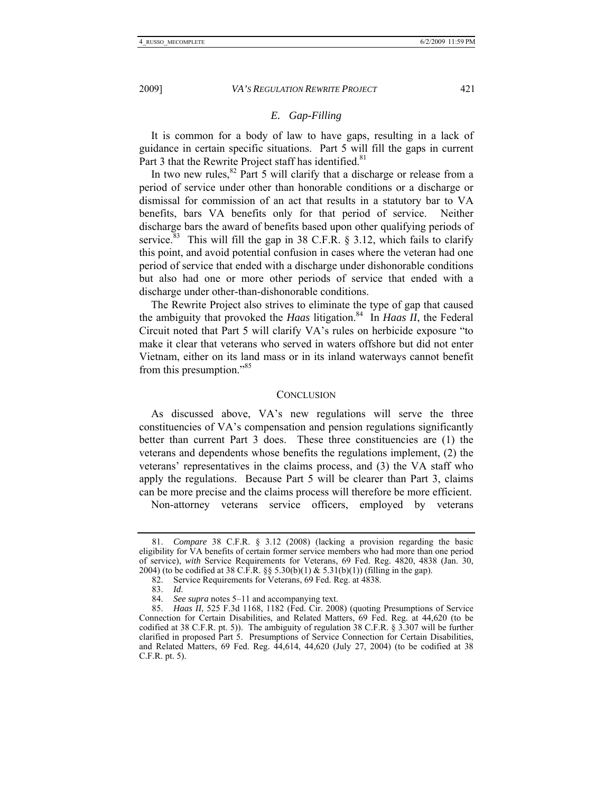# *E. Gap-Filling*

It is common for a body of law to have gaps, resulting in a lack of guidance in certain specific situations. Part 5 will fill the gaps in current Part 3 that the Rewrite Project staff has identified.<sup>81</sup>

In two new rules,  $82$  Part 5 will clarify that a discharge or release from a period of service under other than honorable conditions or a discharge or dismissal for commission of an act that results in a statutory bar to VA benefits, bars VA benefits only for that period of service. Neither discharge bars the award of benefits based upon other qualifying periods of service.<sup>83</sup> This will fill the gap in 38 C.F.R. § 3.12, which fails to clarify this point, and avoid potential confusion in cases where the veteran had one period of service that ended with a discharge under dishonorable conditions but also had one or more other periods of service that ended with a discharge under other-than-dishonorable conditions.

The Rewrite Project also strives to eliminate the type of gap that caused the ambiguity that provoked the *Haas* litigation.<sup>84</sup> In *Haas II*, the Federal Circuit noted that Part 5 will clarify VA's rules on herbicide exposure "to make it clear that veterans who served in waters offshore but did not enter Vietnam, either on its land mass or in its inland waterways cannot benefit from this presumption."85

#### **CONCLUSION**

As discussed above, VA's new regulations will serve the three constituencies of VA's compensation and pension regulations significantly better than current Part 3 does. These three constituencies are (1) the veterans and dependents whose benefits the regulations implement, (2) the veterans' representatives in the claims process, and (3) the VA staff who apply the regulations. Because Part 5 will be clearer than Part 3, claims can be more precise and the claims process will therefore be more efficient.

Non-attorney veterans service officers, employed by veterans

 <sup>81.</sup> *Compare* 38 C.F.R. § 3.12 (2008) (lacking a provision regarding the basic eligibility for VA benefits of certain former service members who had more than one period of service), *with* Service Requirements for Veterans, 69 Fed. Reg. 4820, 4838 (Jan. 30, 2004) (to be codified at 38 C.F.R.  $\S$  5.30(b)(1) & 5.31(b)(1)) (filling in the gap).

 <sup>82.</sup> Service Requirements for Veterans, 69 Fed. Reg. at 4838.

 <sup>83.</sup> *Id*.

 <sup>84.</sup> *See supra* notes 5–11 and accompanying text.

 <sup>85.</sup> *Haas II*, 525 F.3d 1168, 1182 (Fed. Cir. 2008) (quoting Presumptions of Service Connection for Certain Disabilities, and Related Matters, 69 Fed. Reg. at 44,620 (to be codified at 38 C.F.R. pt. 5)). The ambiguity of regulation 38 C.F.R. § 3.307 will be further clarified in proposed Part 5. Presumptions of Service Connection for Certain Disabilities, and Related Matters, 69 Fed. Reg. 44,614, 44,620 (July 27, 2004) (to be codified at 38 C.F.R. pt. 5).